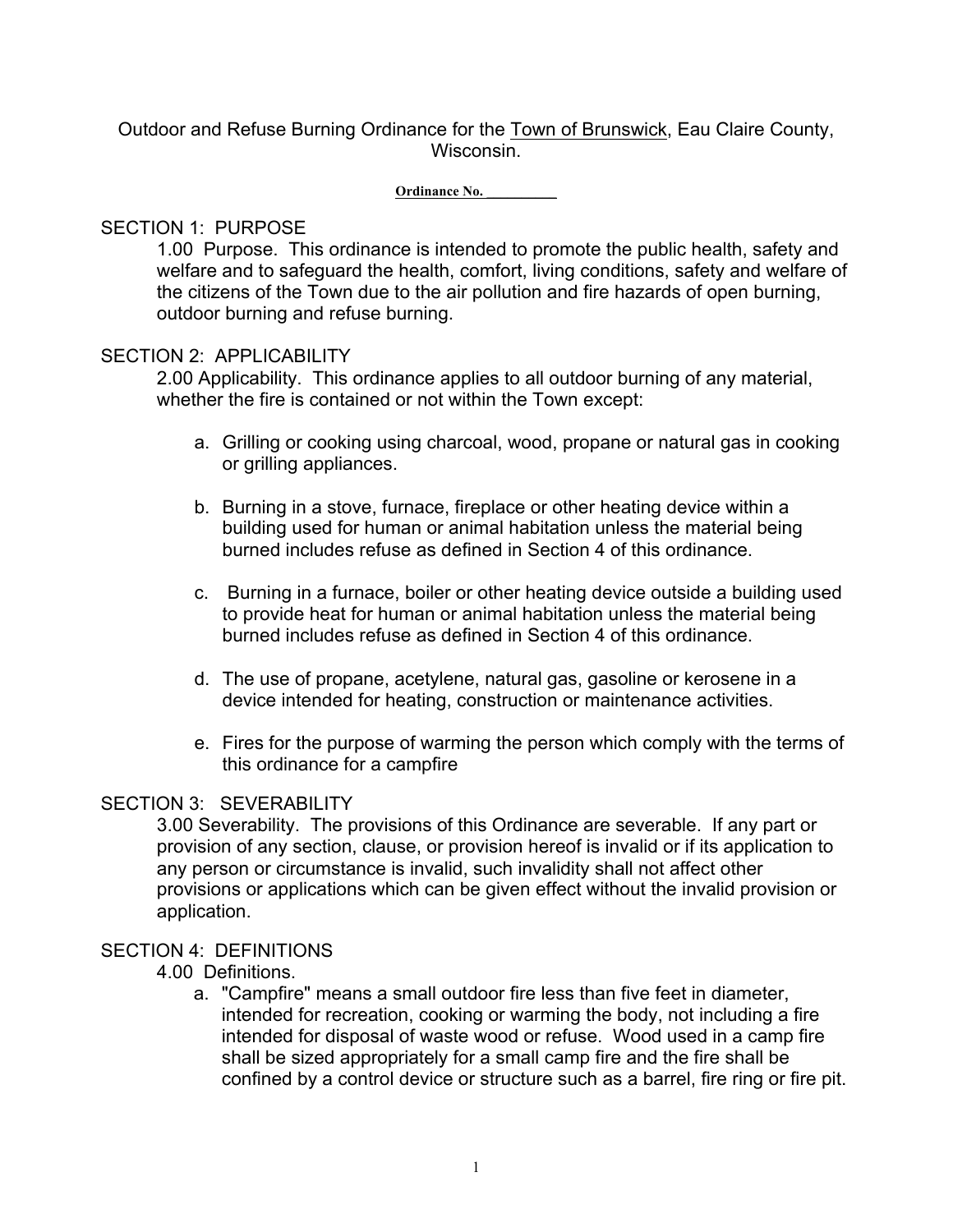Outdoor and Refuse Burning Ordinance for the Town of Brunswick, Eau Claire County, Wisconsin.

#### **Ordinance No. \_\_\_\_\_\_\_\_\_\_**

### SECTION 1: PURPOSE

1.00 Purpose. This ordinance is intended to promote the public health, safety and welfare and to safeguard the health, comfort, living conditions, safety and welfare of the citizens of the Town due to the air pollution and fire hazards of open burning, outdoor burning and refuse burning.

#### SECTION 2: APPLICABILITY

2.00 Applicability. This ordinance applies to all outdoor burning of any material, whether the fire is contained or not within the Town except:

- a. Grilling or cooking using charcoal, wood, propane or natural gas in cooking or grilling appliances.
- b. Burning in a stove, furnace, fireplace or other heating device within a building used for human or animal habitation unless the material being burned includes refuse as defined in Section 4 of this ordinance.
- c. Burning in a furnace, boiler or other heating device outside a building used to provide heat for human or animal habitation unless the material being burned includes refuse as defined in Section 4 of this ordinance.
- d. The use of propane, acetylene, natural gas, gasoline or kerosene in a device intended for heating, construction or maintenance activities.
- e. Fires for the purpose of warming the person which comply with the terms of this ordinance for a campfire

#### SECTION 3: SEVERABILITY

3.00 Severability. The provisions of this Ordinance are severable. If any part or provision of any section, clause, or provision hereof is invalid or if its application to any person or circumstance is invalid, such invalidity shall not affect other provisions or applications which can be given effect without the invalid provision or application.

### SECTION 4: DEFINITIONS

### 4.00 Definitions.

a. "Campfire" means a small outdoor fire less than five feet in diameter, intended for recreation, cooking or warming the body, not including a fire intended for disposal of waste wood or refuse. Wood used in a camp fire shall be sized appropriately for a small camp fire and the fire shall be confined by a control device or structure such as a barrel, fire ring or fire pit.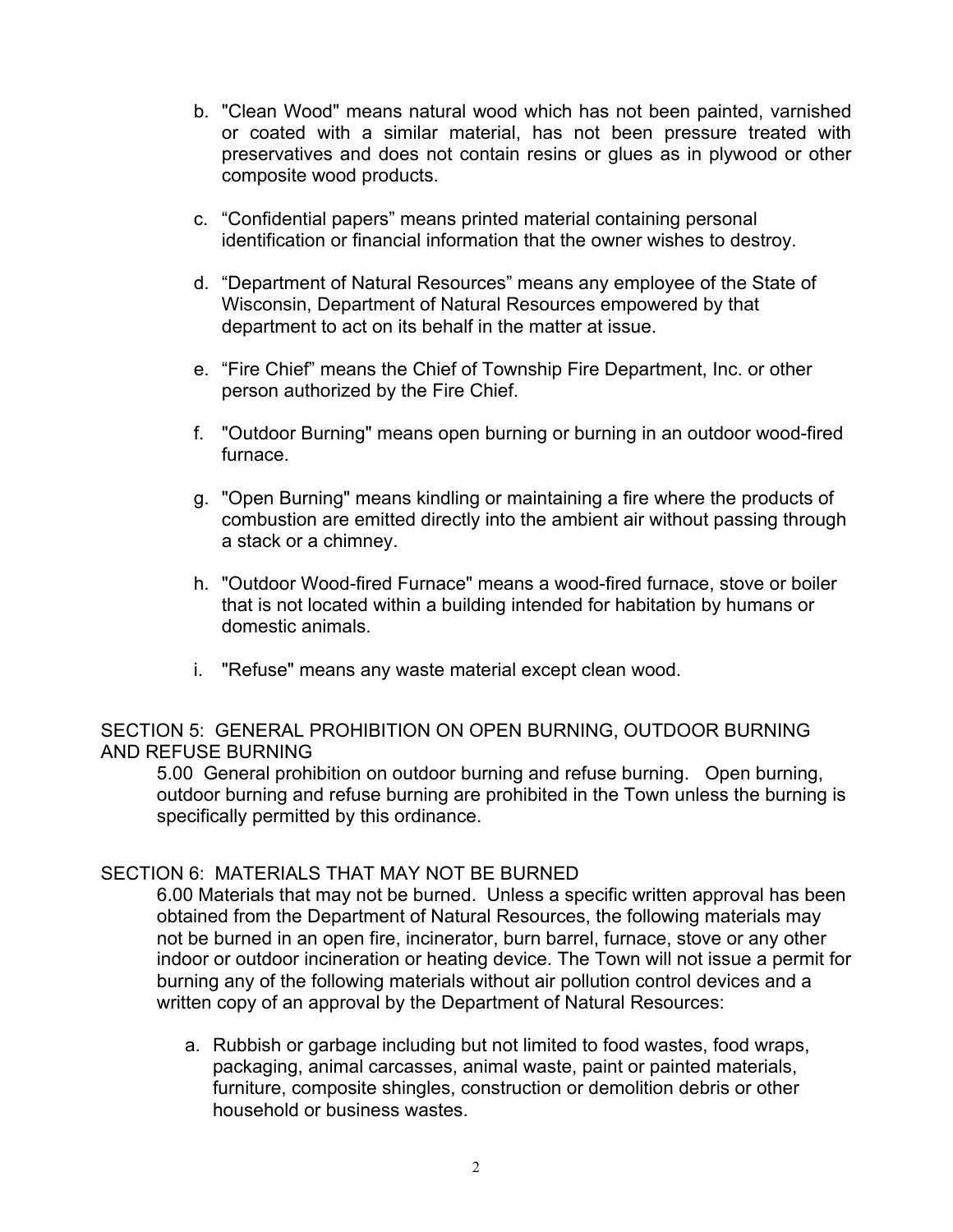- b. "Clean Wood" means natural wood which has not been painted, varnished or coated with a similar material, has not been pressure treated with preservatives and does not contain resins or glues as in plywood or other composite wood products.
- c. "Confidential papers" means printed material containing personal identification or financial information that the owner wishes to destroy.
- d. "Department of Natural Resources" means any employee of the State of Wisconsin, Department of Natural Resources empowered by that department to act on its behalf in the matter at issue.
- e. "Fire Chief" means the Chief of Township Fire Department, Inc. or other person authorized by the Fire Chief.
- f. "Outdoor Burning" means open burning or burning in an outdoor wood-fired furnace.
- g. "Open Burning" means kindling or maintaining a fire where the products of combustion are emitted directly into the ambient air without passing through a stack or a chimney.
- h. "Outdoor Wood-fired Furnace" means a wood-fired furnace, stove or boiler that is not located within a building intended for habitation by humans or domestic animals.
- i. "Refuse" means any waste material except clean wood.

# SECTION 5: GENERAL PROHIBITION ON OPEN BURNING, OUTDOOR BURNING AND REFUSE BURNING

5.00 General prohibition on outdoor burning and refuse burning. Open burning, outdoor burning and refuse burning are prohibited in the Town unless the burning is specifically permitted by this ordinance.

# SECTION 6: MATERIALS THAT MAY NOT BE BURNED

6.00 Materials that may not be burned. Unless a specific written approval has been obtained from the Department of Natural Resources, the following materials may not be burned in an open fire, incinerator, burn barrel, furnace, stove or any other indoor or outdoor incineration or heating device. The Town will not issue a permit for burning any of the following materials without air pollution control devices and a written copy of an approval by the Department of Natural Resources:

a. Rubbish or garbage including but not limited to food wastes, food wraps, packaging, animal carcasses, animal waste, paint or painted materials, furniture, composite shingles, construction or demolition debris or other household or business wastes.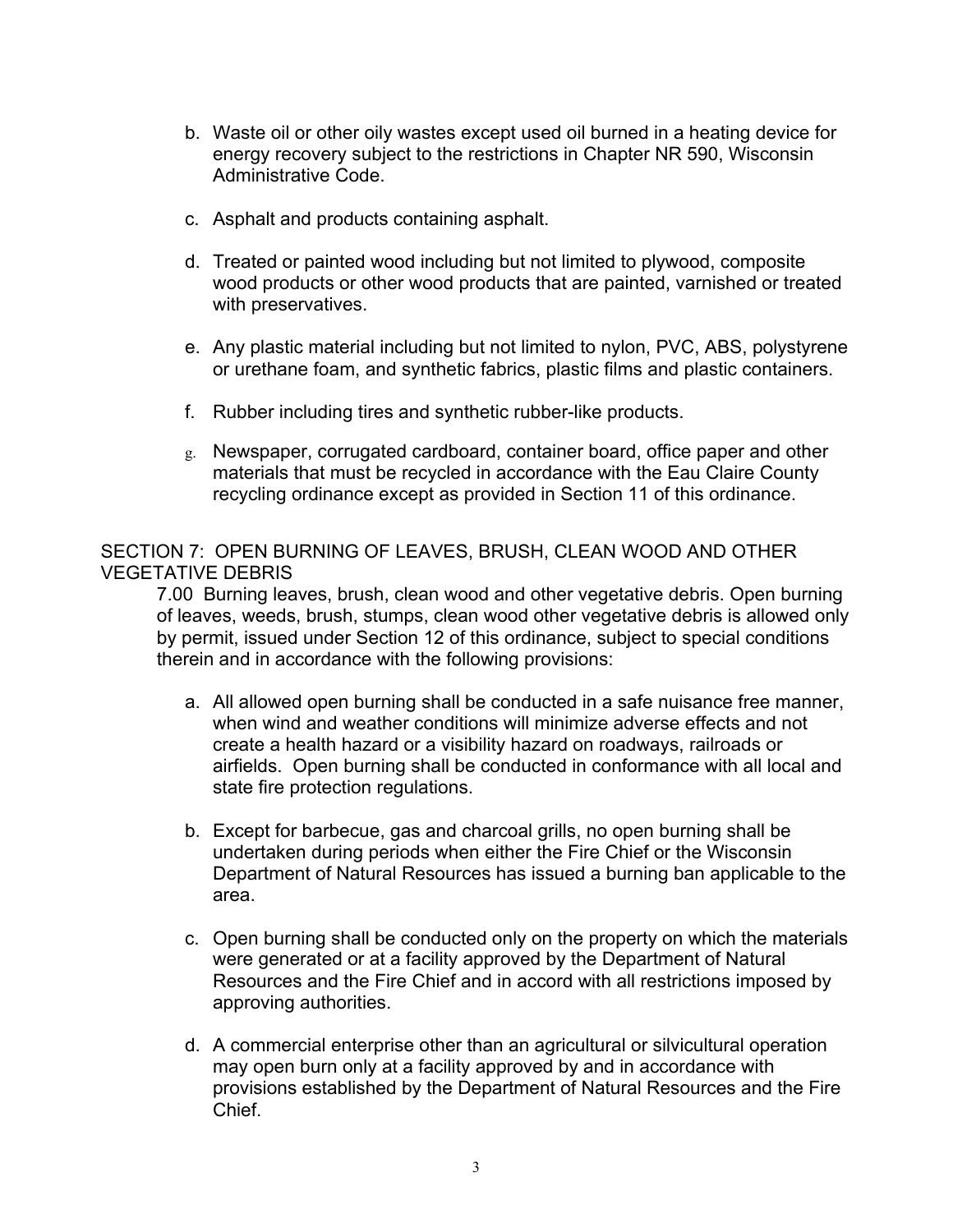- b. Waste oil or other oily wastes except used oil burned in a heating device for energy recovery subject to the restrictions in Chapter NR 590, Wisconsin Administrative Code.
- c. Asphalt and products containing asphalt.
- d. Treated or painted wood including but not limited to plywood, composite wood products or other wood products that are painted, varnished or treated with preservatives.
- e. Any plastic material including but not limited to nylon, PVC, ABS, polystyrene or urethane foam, and synthetic fabrics, plastic films and plastic containers.
- f. Rubber including tires and synthetic rubber-like products.
- g. Newspaper, corrugated cardboard, container board, office paper and other materials that must be recycled in accordance with the Eau Claire County recycling ordinance except as provided in Section 11 of this ordinance.

SECTION 7: OPEN BURNING OF LEAVES, BRUSH, CLEAN WOOD AND OTHER VEGETATIVE DEBRIS

7.00 Burning leaves, brush, clean wood and other vegetative debris. Open burning of leaves, weeds, brush, stumps, clean wood other vegetative debris is allowed only by permit, issued under Section 12 of this ordinance, subject to special conditions therein and in accordance with the following provisions:

- a. All allowed open burning shall be conducted in a safe nuisance free manner, when wind and weather conditions will minimize adverse effects and not create a health hazard or a visibility hazard on roadways, railroads or airfields. Open burning shall be conducted in conformance with all local and state fire protection regulations.
- b. Except for barbecue, gas and charcoal grills, no open burning shall be undertaken during periods when either the Fire Chief or the Wisconsin Department of Natural Resources has issued a burning ban applicable to the area.
- c. Open burning shall be conducted only on the property on which the materials were generated or at a facility approved by the Department of Natural Resources and the Fire Chief and in accord with all restrictions imposed by approving authorities.
- d. A commercial enterprise other than an agricultural or silvicultural operation may open burn only at a facility approved by and in accordance with provisions established by the Department of Natural Resources and the Fire Chief.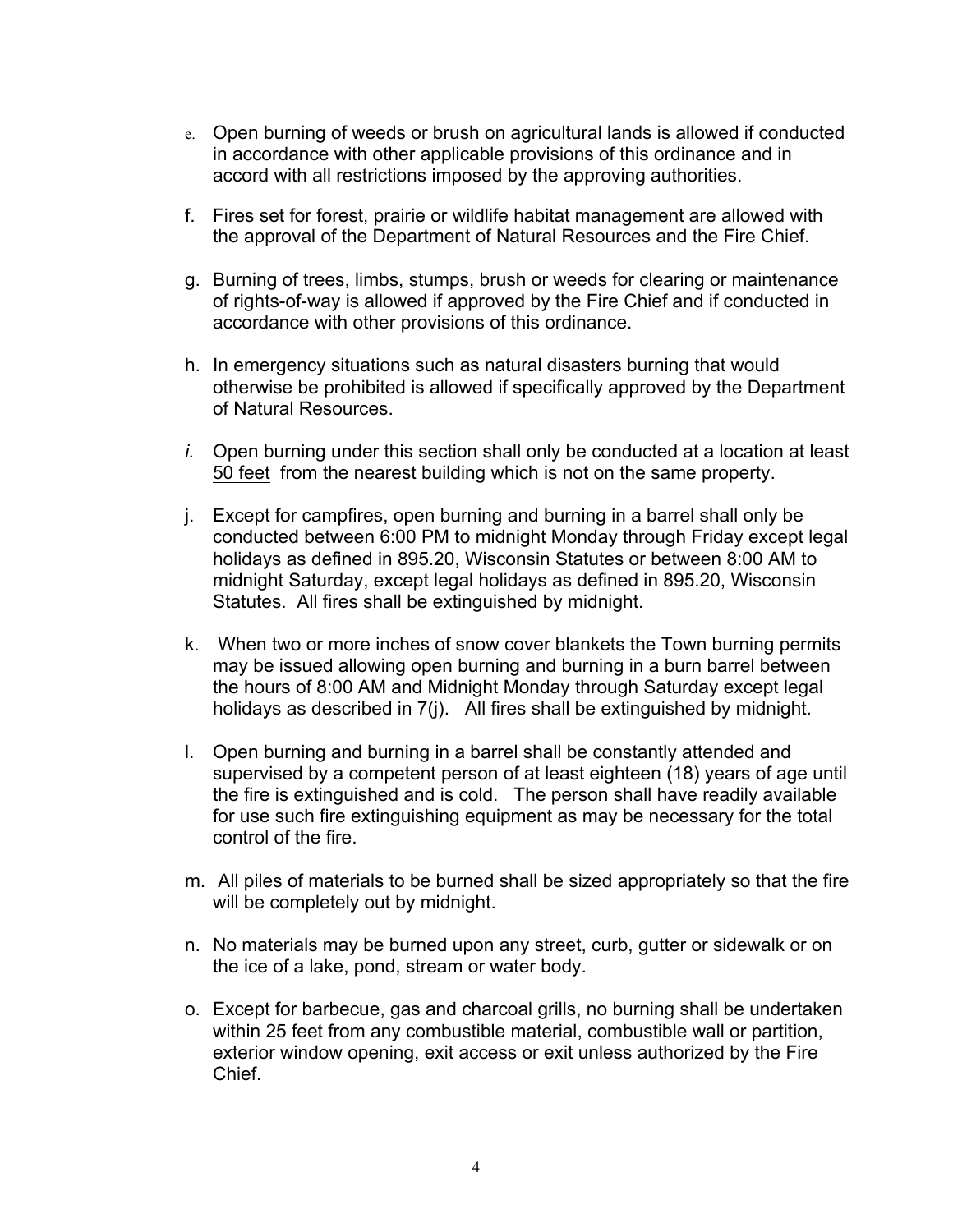- e. Open burning of weeds or brush on agricultural lands is allowed if conducted in accordance with other applicable provisions of this ordinance and in accord with all restrictions imposed by the approving authorities.
- f. Fires set for forest, prairie or wildlife habitat management are allowed with the approval of the Department of Natural Resources and the Fire Chief.
- g. Burning of trees, limbs, stumps, brush or weeds for clearing or maintenance of rights-of-way is allowed if approved by the Fire Chief and if conducted in accordance with other provisions of this ordinance.
- h. In emergency situations such as natural disasters burning that would otherwise be prohibited is allowed if specifically approved by the Department of Natural Resources.
- *i.* Open burning under this section shall only be conducted at a location at least 50 feet from the nearest building which is not on the same property.
- j. Except for campfires, open burning and burning in a barrel shall only be conducted between 6:00 PM to midnight Monday through Friday except legal holidays as defined in 895.20, Wisconsin Statutes or between 8:00 AM to midnight Saturday, except legal holidays as defined in 895.20, Wisconsin Statutes. All fires shall be extinguished by midnight.
- k. When two or more inches of snow cover blankets the Town burning permits may be issued allowing open burning and burning in a burn barrel between the hours of 8:00 AM and Midnight Monday through Saturday except legal holidays as described in 7(j). All fires shall be extinguished by midnight.
- l. Open burning and burning in a barrel shall be constantly attended and supervised by a competent person of at least eighteen (18) years of age until the fire is extinguished and is cold. The person shall have readily available for use such fire extinguishing equipment as may be necessary for the total control of the fire.
- m. All piles of materials to be burned shall be sized appropriately so that the fire will be completely out by midnight.
- n. No materials may be burned upon any street, curb, gutter or sidewalk or on the ice of a lake, pond, stream or water body.
- o. Except for barbecue, gas and charcoal grills, no burning shall be undertaken within 25 feet from any combustible material, combustible wall or partition, exterior window opening, exit access or exit unless authorized by the Fire Chief.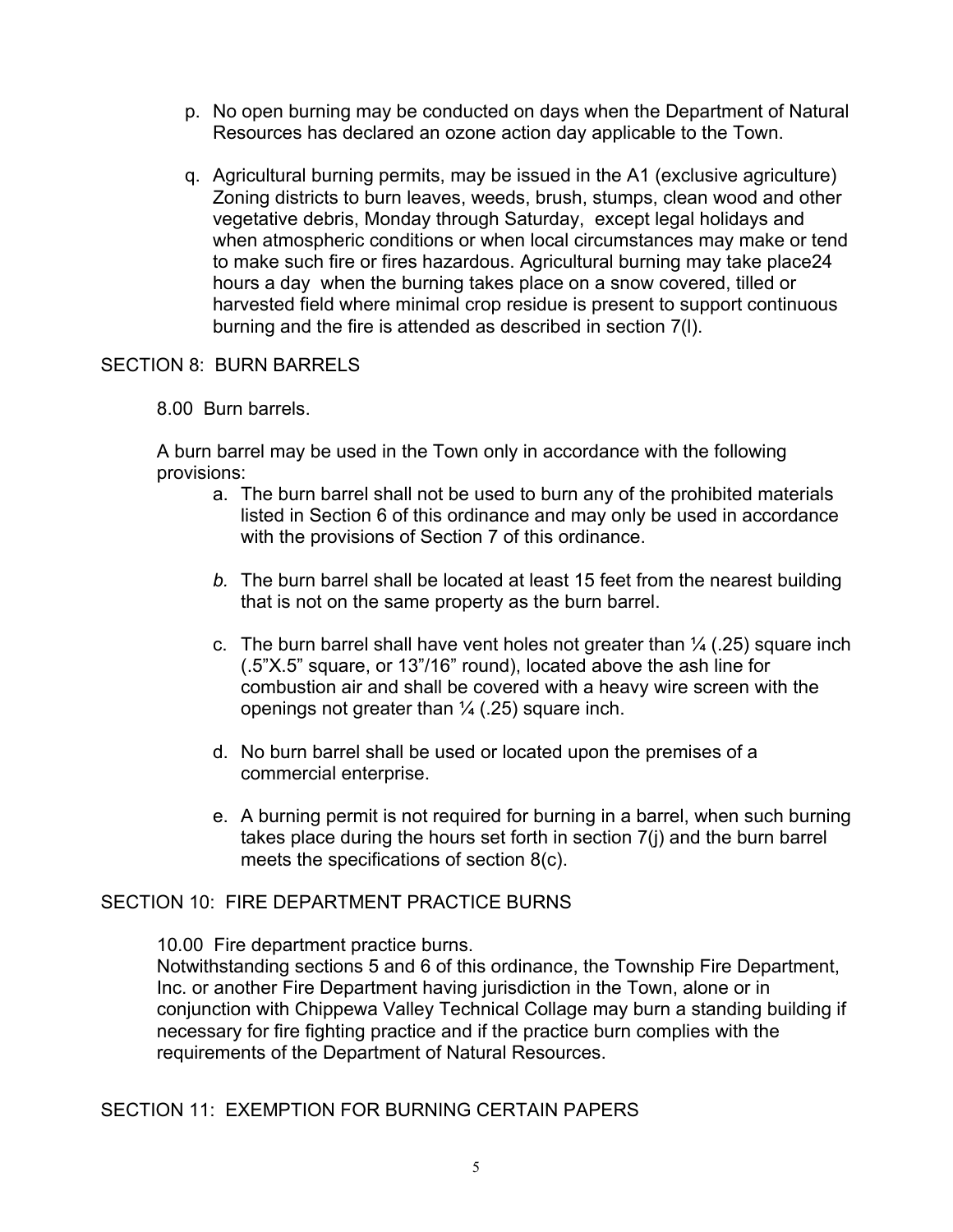- p. No open burning may be conducted on days when the Department of Natural Resources has declared an ozone action day applicable to the Town.
- q. Agricultural burning permits, may be issued in the A1 (exclusive agriculture) Zoning districts to burn leaves, weeds, brush, stumps, clean wood and other vegetative debris, Monday through Saturday, except legal holidays and when atmospheric conditions or when local circumstances may make or tend to make such fire or fires hazardous. Agricultural burning may take place24 hours a day when the burning takes place on a snow covered, tilled or harvested field where minimal crop residue is present to support continuous burning and the fire is attended as described in section 7(l).

## SECTION 8: BURN BARRELS

8.00 Burn barrels.

A burn barrel may be used in the Town only in accordance with the following provisions:

- a. The burn barrel shall not be used to burn any of the prohibited materials listed in Section 6 of this ordinance and may only be used in accordance with the provisions of Section 7 of this ordinance.
- *b.* The burn barrel shall be located at least 15 feet from the nearest building that is not on the same property as the burn barrel.
- c. The burn barrel shall have vent holes not greater than  $\frac{1}{4}$  (.25) square inch (.5"X.5" square, or 13"/16" round), located above the ash line for combustion air and shall be covered with a heavy wire screen with the openings not greater than  $\frac{1}{4}$  (.25) square inch.
- d. No burn barrel shall be used or located upon the premises of a commercial enterprise.
- e. A burning permit is not required for burning in a barrel, when such burning takes place during the hours set forth in section 7(j) and the burn barrel meets the specifications of section 8(c).

# SECTION 10: FIRE DEPARTMENT PRACTICE BURNS

10.00 Fire department practice burns.

Notwithstanding sections 5 and 6 of this ordinance, the Township Fire Department, Inc. or another Fire Department having jurisdiction in the Town, alone or in conjunction with Chippewa Valley Technical Collage may burn a standing building if necessary for fire fighting practice and if the practice burn complies with the requirements of the Department of Natural Resources.

SECTION 11: EXEMPTION FOR BURNING CERTAIN PAPERS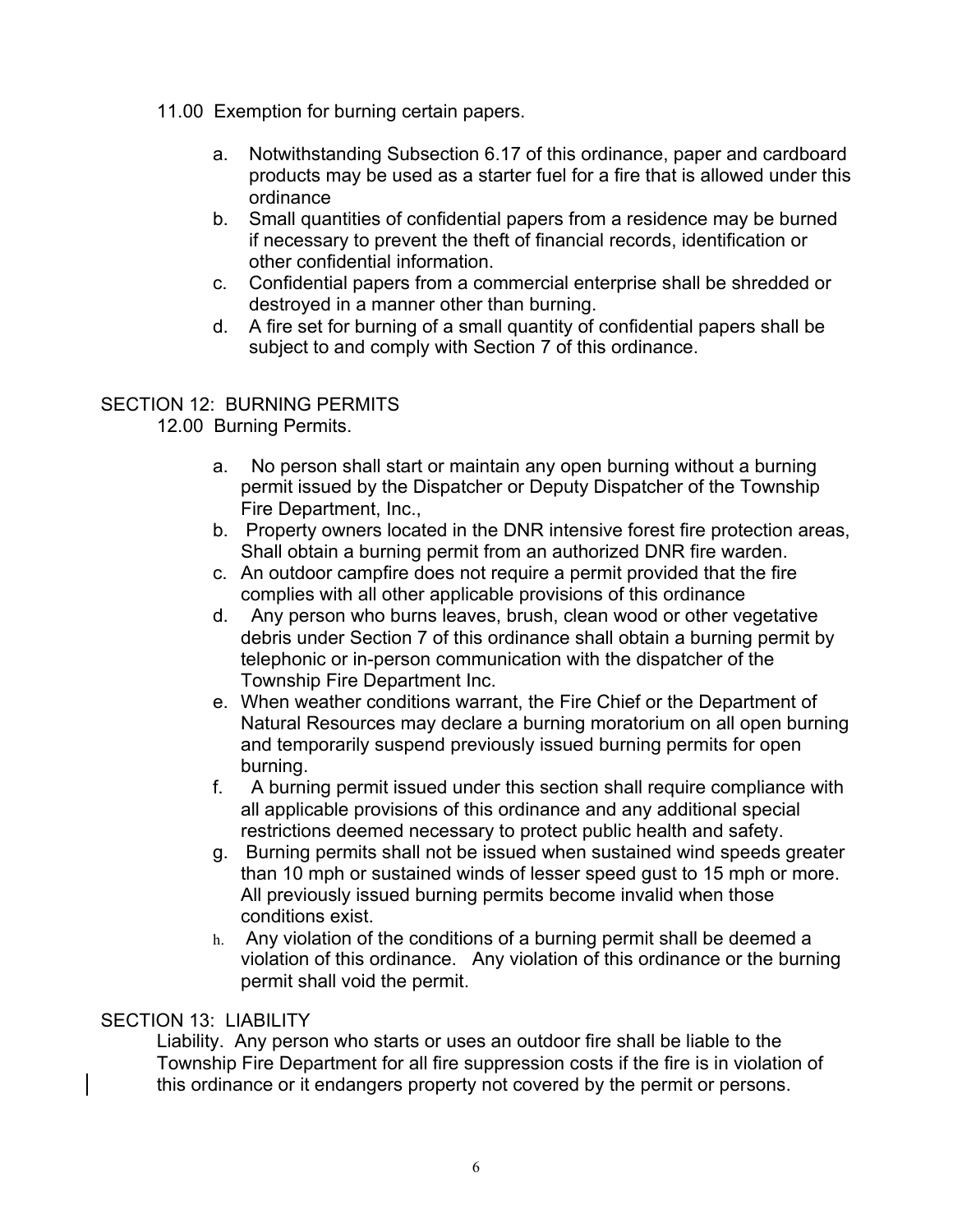- 11.00 Exemption for burning certain papers.
	- a. Notwithstanding Subsection 6.17 of this ordinance, paper and cardboard products may be used as a starter fuel for a fire that is allowed under this ordinance
	- b. Small quantities of confidential papers from a residence may be burned if necessary to prevent the theft of financial records, identification or other confidential information.
	- c. Confidential papers from a commercial enterprise shall be shredded or destroyed in a manner other than burning.
	- d. A fire set for burning of a small quantity of confidential papers shall be subject to and comply with Section 7 of this ordinance.

## SECTION 12: BURNING PERMITS

12.00 Burning Permits.

- a. No person shall start or maintain any open burning without a burning permit issued by the Dispatcher or Deputy Dispatcher of the Township Fire Department, Inc.,
- b. Property owners located in the DNR intensive forest fire protection areas, Shall obtain a burning permit from an authorized DNR fire warden.
- c. An outdoor campfire does not require a permit provided that the fire complies with all other applicable provisions of this ordinance
- d. Any person who burns leaves, brush, clean wood or other vegetative debris under Section 7 of this ordinance shall obtain a burning permit by telephonic or in-person communication with the dispatcher of the Township Fire Department Inc.
- e. When weather conditions warrant, the Fire Chief or the Department of Natural Resources may declare a burning moratorium on all open burning and temporarily suspend previously issued burning permits for open burning.
- f. A burning permit issued under this section shall require compliance with all applicable provisions of this ordinance and any additional special restrictions deemed necessary to protect public health and safety.
- g. Burning permits shall not be issued when sustained wind speeds greater than 10 mph or sustained winds of lesser speed gust to 15 mph or more. All previously issued burning permits become invalid when those conditions exist.
- h. Any violation of the conditions of a burning permit shall be deemed a violation of this ordinance. Any violation of this ordinance or the burning permit shall void the permit.

## SECTION 13: LIABILITY

Liability. Any person who starts or uses an outdoor fire shall be liable to the Township Fire Department for all fire suppression costs if the fire is in violation of this ordinance or it endangers property not covered by the permit or persons.